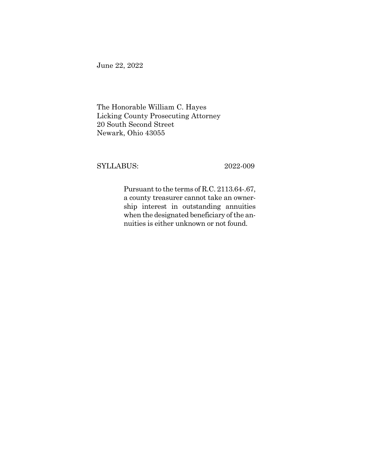June 22, 2022

The Honorable William C. Hayes Licking County Prosecuting Attorney 20 South Second Street Newark, Ohio 43055

SYLLABUS: 2022-009

Pursuant to the terms of R.C. 2113.64-.67, a county treasurer cannot take an ownership interest in outstanding annuities when the designated beneficiary of the annuities is either unknown or not found.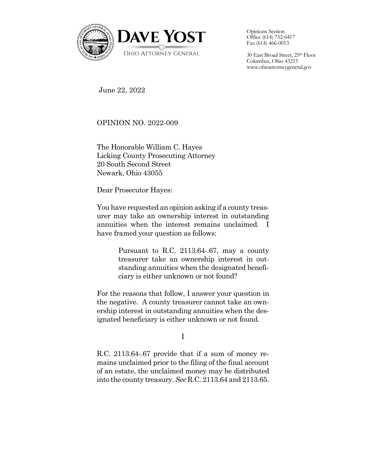

Opinions Section Office (614) 752-6417 Fax (614) 466-0013

30 East Broad Street, 25th Floor Columbus, Ohio 43215 www.ohioattorneygeneral.gov

June 22, 2022

OPINION NO. 2022-009

The Honorable William C. Hayes Licking County Prosecuting Attorney 20 South Second Street Newark, Ohio 43055

Dear Prosecutor Hayes:

You have requested an opinion asking if a county treasurer may take an ownership interest in outstanding annuities when the interest remains unclaimed. I have framed your question as follows:

> Pursuant to R.C. 2113.64-.67, may a county treasurer take an ownership interest in outstanding annuities when the designated beneficiary is either unknown or not found?

For the reasons that follow, I answer your question in the negative. A county treasurer cannot take an ownership interest in outstanding annuities when the designated beneficiary is either unknown or not found.

## I

R.C. 2113.64-.67 provide that if a sum of money remains unclaimed prior to the filing of the final account of an estate, the unclaimed money may be distributed into the county treasury. *See* R.C*.* 2113.64 and 2113.65.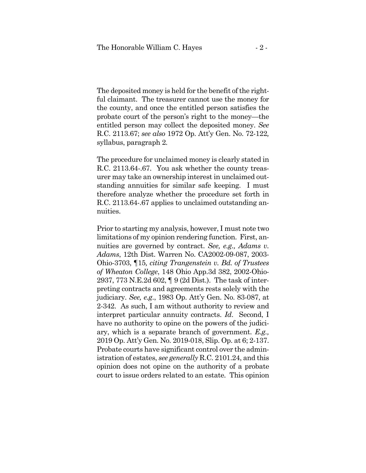The deposited money is held for the benefit of the rightful claimant. The treasurer cannot use the money for the county, and once the entitled person satisfies the probate court of the person's right to the money—the entitled person may collect the deposited money. *See* R.C. 2113.67; *see also* 1972 Op. Att'y Gen. No. 72-122*,*  syllabus, paragraph 2*.*

The procedure for unclaimed money is clearly stated in R.C. 2113.64-.67. You ask whether the county treasurer may take an ownership interest in unclaimed outstanding annuities for similar safe keeping. I must therefore analyze whether the procedure set forth in R.C. 2113.64-.67 applies to unclaimed outstanding annuities.

Prior to starting my analysis, however, I must note two limitations of my opinion rendering function. First, annuities are governed by contract. *See, e.g., Adams v. Adams*, 12th Dist. Warren No. CA2002-09-087, 2003- Ohio-3703, ¶15*, citing Trangenstein v. Bd. of Trustees of Wheaton College*, 148 Ohio App.3d 382, 2002-Ohio-2937, 773 N.E.2d 602, ¶ 9 (2d Dist.). The task of interpreting contracts and agreements rests solely with the judiciary. *See, e.g*., 1983 Op. Att'y Gen. No. 83-087, at 2-342. As such, I am without authority to review and interpret particular annuity contracts. *Id*. Second, I have no authority to opine on the powers of the judiciary, which is a separate branch of government. *E.g.,*  2019 Op. Att'y Gen. No. 2019-018, Slip. Op. at 6; 2-137. Probate courts have significant control over the administration of estates, *see generally* R.C. 2101.24, and this opinion does not opine on the authority of a probate court to issue orders related to an estate. This opinion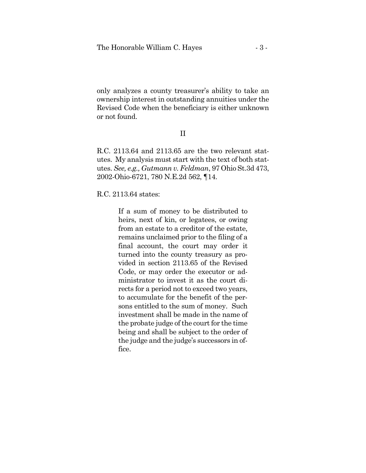only analyzes a county treasurer's ability to take an ownership interest in outstanding annuities under the Revised Code when the beneficiary is either unknown or not found.

## II

R.C. 2113.64 and 2113.65 are the two relevant statutes. My analysis must start with the text of both statutes. *See, e.g., Gutmann v. Feldman*, 97 Ohio St.3d 473, 2002-Ohio-6721, 780 N.E.2d 562, ¶14.

R.C. 2113.64 states:

If a sum of money to be distributed to heirs, next of kin, or legatees, or owing from an estate to a creditor of the estate, remains unclaimed prior to the filing of a final account, the court may order it turned into the county treasury as provided in section 2113.65 of the Revised Code, or may order the executor or administrator to invest it as the court directs for a period not to exceed two years, to accumulate for the benefit of the persons entitled to the sum of money. Such investment shall be made in the name of the probate judge of the court for the time being and shall be subject to the order of the judge and the judge's successors in office.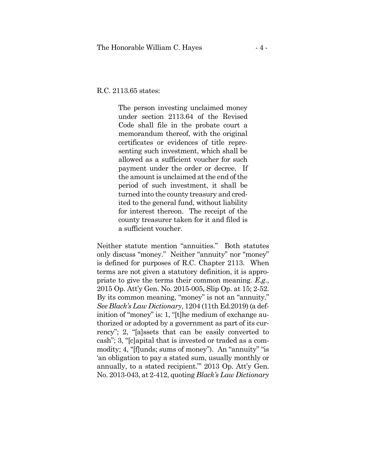R.C. 2113.65 states:

The person investing unclaimed money under section 2113.64 of the Revised Code shall file in the probate court a memorandum thereof, with the original certificates or evidences of title representing such investment, which shall be allowed as a sufficient voucher for such payment under the order or decree. If the amount is unclaimed at the end of the period of such investment, it shall be turned into the county treasury and credited to the general fund, without liability for interest thereon. The receipt of the county treasurer taken for it and filed is a sufficient voucher.

Neither statute mention "annuities." Both statutes only discuss "money." Neither "annuity" nor "money" is defined for purposes of R.C. Chapter 2113. When terms are not given a statutory definition, it is appropriate to give the terms their common meaning. *E.g*., 2015 Op. Att'y Gen. No. 2015-005, Slip Op. at 15; 2-52. By its common meaning, "money" is not an "annuity." *See Black's Law Dictionary*, 1204 (11th Ed.2019) (a definition of "money" is: 1, "[t]he medium of exchange authorized or adopted by a government as part of its currency"; 2, "[a]ssets that can be easily converted to cash"; 3, "[c]apital that is invested or traded as a commodity; 4, "[f]unds; sums of money"). An "annuity" "is 'an obligation to pay a stated sum, usually monthly or annually, to a stated recipient."' 2013 Op. Att'y Gen. No. 2013-043, at 2-412, quoting *Black's Law Dictionary*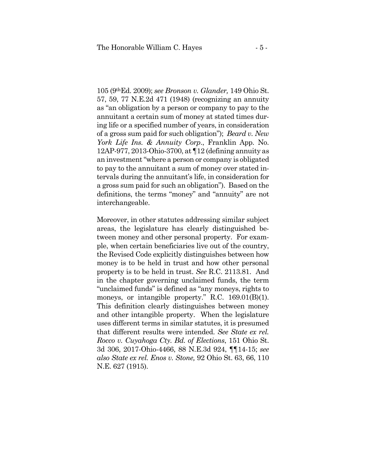105 (9thEd. 2009); *see Bronson v. Glander,* 149 Ohio St. 57, 59, 77 N.E.2d 471 (1948) (recognizing an annuity as "an obligation by a person or company to pay to the annuitant a certain sum of money at stated times during life or a specified number of years, in consideration of a gross sum paid for such obligation"); *Beard v. New York Life Ins. & Annuity Corp*., Franklin App. No. 12AP-977, 2013-Ohio-3700, at ¶12 (defining annuity as an investment "where a person or company is obligated to pay to the annuitant a sum of money over stated intervals during the annuitant's life, in consideration for a gross sum paid for such an obligation"). Based on the definitions, the terms "money" and "annuity" are not interchangeable.

Moreover, in other statutes addressing similar subject areas, the legislature has clearly distinguished between money and other personal property. For example, when certain beneficiaries live out of the country, the Revised Code explicitly distinguishes between how money is to be held in trust and how other personal property is to be held in trust. *See* R.C. 2113.81. And in the chapter governing unclaimed funds, the term "unclaimed funds" is defined as "any moneys, rights to moneys, or intangible property." R.C. 169.01(B)(1). This definition clearly distinguishes between money and other intangible property. When the legislature uses different terms in similar statutes, it is presumed that different results were intended. *See State ex rel. Rocco v. Cuyahoga Cty. Bd. of Elections*, 151 Ohio St. 3d 306, 2017-Ohio-4466, 88 N.E.3d 924, ¶¶14-15; *see also State ex rel. Enos v. Stone,* 92 Ohio St. 63, 66, 110 N.E. 627 (1915).